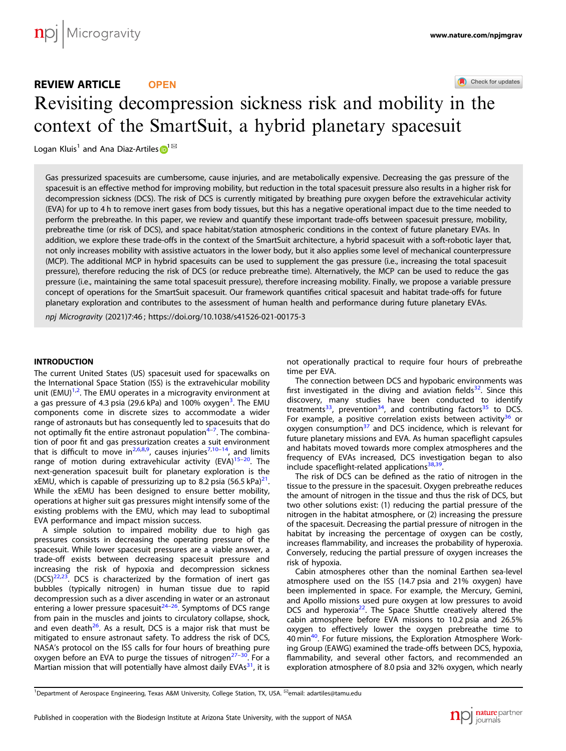# Check for updates REVIEW ARTICLE **OPEN** Revisiting decompression sickness risk and mobility [in](http://crossmark.crossref.org/dialog/?doi=10.1038/s41526-021-00175-3&domain=pdf) the context of the SmartSuit, a hybrid planetary spacesuit

Logan Klui[s](http://orcid.org/0000-0002-0459-9327)<sup>[1](http://orcid.org/0000-0002-0459-9327)</sup> and Ana Diaz-Artiles  $\mathbf{D}^{1box}$ 

Gas pressurized spacesuits are cumbersome, cause injuries, and are metabolically expensive. Decreasing the gas pressure of the spacesuit is an effective method for improving mobility, but reduction in the total spacesuit pressure also results in a higher risk for decompression sickness (DCS). The risk of DCS is currently mitigated by breathing pure oxygen before the extravehicular activity (EVA) for up to 4 h to remove inert gases from body tissues, but this has a negative operational impact due to the time needed to perform the prebreathe. In this paper, we review and quantify these important trade-offs between spacesuit pressure, mobility, prebreathe time (or risk of DCS), and space habitat/station atmospheric conditions in the context of future planetary EVAs. In addition, we explore these trade-offs in the context of the SmartSuit architecture, a hybrid spacesuit with a soft-robotic layer that, not only increases mobility with assistive actuators in the lower body, but it also applies some level of mechanical counterpressure (MCP). The additional MCP in hybrid spacesuits can be used to supplement the gas pressure (i.e., increasing the total spacesuit pressure), therefore reducing the risk of DCS (or reduce prebreathe time). Alternatively, the MCP can be used to reduce the gas pressure (i.e., maintaining the same total spacesuit pressure), therefore increasing mobility. Finally, we propose a variable pressure concept of operations for the SmartSuit spacesuit. Our framework quantifies critical spacesuit and habitat trade-offs for future planetary exploration and contributes to the assessment of human health and performance during future planetary EVAs.

npj Microgravity (2021) 7:46 ; https://doi.org/1[0.1038/s41526-021-00175-3](https://doi.org/10.1038/s41526-021-00175-3)

# INTRODUCTION

The current United States (US) spacesuit used for spacewalks on the International Space Station (ISS) is the extravehicular mobility unit (EMU)<sup>[1,2](#page-6-0)</sup>. The EMU operates in a microgravity environment at a gas pressure of 4.[3](#page-6-0) psia (29.6 kPa) and 100% oxygen<sup>3</sup>. The EMU components come in discrete sizes to accommodate a wider range of astronauts but has consequently led to spacesuits that do not optimally fit the entire astronaut population<sup>[4](#page-6-0)-[7](#page-6-0)</sup>. The combination of poor fit and gas pressurization creates a suit environment that is difficult to move in<sup>2,6,8,9</sup>, causes injuries<sup>[7,10](#page-6-0)-[14](#page-6-0)</sup>, and limits range of motion during extravehicular activity (EVA) $15-20$  $15-20$ . The next-generation spacesuit built for planetary exploration is the xEMU, which is capable of pressurizing up to 8.2 psia (56.5 kPa) $^{21}$  $^{21}$  $^{21}$ . While the xEMU has been designed to ensure better mobility, operations at higher suit gas pressures might intensify some of the existing problems with the EMU, which may lead to suboptimal EVA performance and impact mission success.

A simple solution to impaired mobility due to high gas pressures consists in decreasing the operating pressure of the spacesuit. While lower spacesuit pressures are a viable answer, a trade-off exists between decreasing spacesuit pressure and increasing the risk of hypoxia and decompression sickness  $(DCS)^{22,23}$  $(DCS)^{22,23}$  $(DCS)^{22,23}$ . DCS is characterized by the formation of inert gas bubbles (typically nitrogen) in human tissue due to rapid decompression such as a diver ascending in water or an astronaut entering a lower pressure spacesuit $24-26$  $24-26$  $24-26$ . Symptoms of DCS range from pain in the muscles and joints to circulatory collapse, shock, and even death $^{26}$  $^{26}$  $^{26}$ . As a result, DCS is a major risk that must be mitigated to ensure astronaut safety. To address the risk of DCS, NASA's protocol on the ISS calls for four hours of breathing pure oxygen before an EVA to purge the tissues of nitrogen $27-30$  $27-30$  $27-30$ . For a Martian mission that will potentially have almost daily  $EVAs<sup>31</sup>$ , it is not operationally practical to require four hours of prebreathe time per EVA.

The connection between DCS and hypobaric environments was first investigated in the diving and aviation fields<sup>32</sup>. Since this discovery, many studies have been conducted to identify treatments<sup>33</sup>, prevention<sup>34</sup>, and contributing factors<sup>[35](#page-6-0)</sup> to DCS. For example, a positive correlation exists between activity<sup>[36](#page-6-0)</sup> or oxygen consumption $37$  and DCS incidence, which is relevant for future planetary missions and EVA. As human spaceflight capsules and habitats moved towards more complex atmospheres and the frequency of EVAs increased, DCS investigation began to also include spaceflight-related applications<sup>[38,39](#page-6-0)</sup>.

The risk of DCS can be defined as the ratio of nitrogen in the tissue to the pressure in the spacesuit. Oxygen prebreathe reduces the amount of nitrogen in the tissue and thus the risk of DCS, but two other solutions exist: (1) reducing the partial pressure of the nitrogen in the habitat atmosphere, or (2) increasing the pressure of the spacesuit. Decreasing the partial pressure of nitrogen in the habitat by increasing the percentage of oxygen can be costly, increases flammability, and increases the probability of hyperoxia. Conversely, reducing the partial pressure of oxygen increases the risk of hypoxia.

Cabin atmospheres other than the nominal Earthen sea-level atmosphere used on the ISS (14.7 psia and 21% oxygen) have been implemented in space. For example, the Mercury, Gemini, and Apollo missions used pure oxygen at low pressures to avoid DCS and hyperoxia<sup>22</sup>. The Space Shuttle creatively altered the cabin atmosphere before EVA missions to 10.2 psia and 26.5% oxygen to effectively lower the oxygen prebreathe time to [40](#page-6-0) min<sup>40</sup>. For future missions, the Exploration Atmosphere Working Group (EAWG) examined the trade-offs between DCS, hypoxia, flammability, and several other factors, and recommended an exploration atmosphere of 8.0 psia and 32% oxygen, which nearly

<sup>1</sup>Department of Aerospace Engineering, Texas A&M University, College Station, TX, USA. <sup>⊠</sup>email: [adartiles@tamu.edu](mailto:adartiles@tamu.edu)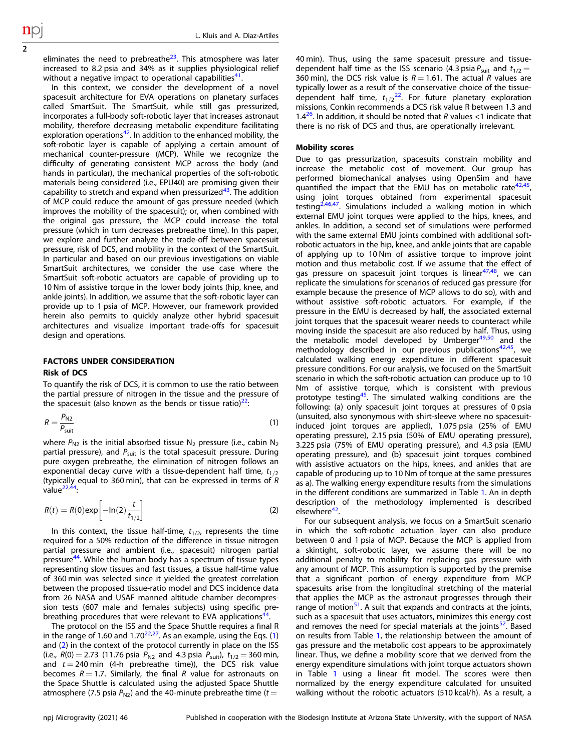<span id="page-1-0"></span>eliminates the need to prebreathe $23$ . This atmosphere was later increased to 8.2 psia and 34% as it supplies physiological relief without a negative impact to operational capabilities $41$ .

In this context, we consider the development of a novel spacesuit architecture for EVA operations on planetary surfaces called SmartSuit. The SmartSuit, while still gas pressurized, incorporates a full-body soft-robotic layer that increases astronaut mobility, therefore decreasing metabolic expenditure facilitating exploration operations $42$ . In addition to the enhanced mobility, the soft-robotic layer is capable of applying a certain amount of mechanical counter-pressure (MCP). While we recognize the difficulty of generating consistent MCP across the body (and hands in particular), the mechanical properties of the soft-robotic materials being considered (i.e., EPU40) are promising given their capability to stretch and expand when pressurized $43$ . The addition of MCP could reduce the amount of gas pressure needed (which improves the mobility of the spacesuit); or, when combined with the original gas pressure, the MCP could increase the total pressure (which in turn decreases prebreathe time). In this paper, we explore and further analyze the trade-off between spacesuit pressure, risk of DCS, and mobility in the context of the SmartSuit. In particular and based on our previous investigations on viable SmartSuit architectures, we consider the use case where the SmartSuit soft-robotic actuators are capable of providing up to 10 Nm of assistive torque in the lower body joints (hip, knee, and ankle joints). In addition, we assume that the soft-robotic layer can provide up to 1 psia of MCP. However, our framework provided herein also permits to quickly analyze other hybrid spacesuit architectures and visualize important trade-offs for spacesuit design and operations.

# FACTORS UNDER CONSIDERATION Risk of DCS

To quantify the risk of DCS, it is common to use the ratio between the partial pressure of nitrogen in the tissue and the pressure of the spacesuit (also known as the bends or tissue ratio) $^{22}$ :

$$
R = \frac{P_{N2}}{P_{\text{suit}}} \tag{1}
$$

where  $P_{N2}$  is the initial absorbed tissue N<sub>2</sub> pressure (i.e., cabin N<sub>2</sub> partial pressure), and  $P_{suit}$  is the total spacesuit pressure. During pure oxygen prebreathe, the elimination of nitrogen follows an exponential decay curve with a tissue-dependent half time,  $t_{1/2}$ (typically equal to 360 min), that can be expressed in terms of  $\hat{R}$ value $^{22,44}$  $^{22,44}$  $^{22,44}$ :

$$
R(t) = R(0) \exp\left[-\ln(2)\frac{t}{t_{1/2}}\right]
$$
 (2)

In this context, the tissue half-time,  $t_{1/2}$ , represents the time required for a 50% reduction of the difference in tissue nitrogen partial pressure and ambient (i.e., spacesuit) nitrogen partial pressure<sup>44</sup>. While the human body has a spectrum of tissue types representing slow tissues and fast tissues, a tissue half-time value of 360 min was selected since it yielded the greatest correlation between the proposed tissue-ratio model and DCS incidence data from 26 NASA and USAF manned altitude chamber decompression tests (607 male and females subjects) using specific pre-breathing procedures that were relevant to EVA applications<sup>[44](#page-7-0)</sup>.

The protocol on the ISS and the Space Shuttle requires a final R in the range of 1.60 and 1.70 $22,27$ . As an example, using the Eqs. (1) and (2) in the context of the protocol currently in place on the ISS (i.e.,  $R(0) = 2.73$  (11.76 psia  $P_{N2}$  and 4.3 psia  $P_{suit}$ ),  $t_{1/2} = 360$  min, and  $t = 240$  min (4-h prebreathe time)), the DCS risk value becomes  $R = 1.7$ . Similarly, the final R value for astronauts on the Space Shuttle is calculated using the adjusted Space Shuttle atmosphere (7.5 psia  $P_{N2}$ ) and the 40-minute prebreathe time (t =

40 min). Thus, using the same spacesuit pressure and tissuedependent half time as the ISS scenario (4.3 psia  $P_{\text{suit}}$  and  $t_{1/2}$  = 360 min), the DCS risk value is  $R = 1.61$ . The actual R values are typically lower as a result of the conservative choice of the tissuedependent half time,  $t_{1/2}^{22}$  $t_{1/2}^{22}$  $t_{1/2}^{22}$ . For future planetary exploration missions, Conkin recommends a DCS risk value R between 1.3 and 1.4<sup>26</sup>. In addition, it should be noted that R values <1 indicate that there is no risk of DCS and thus, are operationally irrelevant.

#### Mobility scores

Due to gas pressurization, spacesuits constrain mobility and increase the metabolic cost of movement. Our group has performed biomechanical analyses using OpenSim and have quantified the impact that the EMU has on metabolic rate $42,45$  $42,45$ , using joint torques obtained from experimental spacesuit testing<sup>2,46,47</sup>. Simulations included a walking motion in which external EMU joint torques were applied to the hips, knees, and ankles. In addition, a second set of simulations were performed with the same external EMU joints combined with additional softrobotic actuators in the hip, knee, and ankle joints that are capable of applying up to 10 Nm of assistive torque to improve joint motion and thus metabolic cost. If we assume that the effect of gas pressure on spacesuit joint torques is linear<sup>[47,48](#page-7-0)</sup>, we can replicate the simulations for scenarios of reduced gas pressure (for example because the presence of MCP allows to do so), with and without assistive soft-robotic actuators. For example, if the pressure in the EMU is decreased by half, the associated external joint torques that the spacesuit wearer needs to counteract while moving inside the spacesuit are also reduced by half. Thus, using the metabolic model developed by Umberger<sup>[49](#page-7-0),[50](#page-7-0)</sup> and the methodology described in our previous publications $42,45$  $42,45$ , we calculated walking energy expenditure in different spacesuit pressure conditions. For our analysis, we focused on the SmartSuit scenario in which the soft-robotic actuation can produce up to 10 Nm of assistive torque, which is consistent with previous prototype testing<sup>45</sup>. The simulated walking conditions are the following: (a) only spacesuit joint torques at pressures of 0 psia (unsuited, also synonymous with shirt-sleeve where no spacesuitinduced joint torques are applied), 1.075 psia (25% of EMU operating pressure), 2.15 psia (50% of EMU operating pressure), 3.225 psia (75% of EMU operating pressure), and 4.3 psia (EMU operating pressure), and (b) spacesuit joint torques combined with assistive actuators on the hips, knees, and ankles that are capable of producing up to 10 Nm of torque at the same pressures as a). The walking energy expenditure results from the simulations in the different conditions are summarized in Table [1.](#page-2-0) An in depth description of the methodology implemented is described elsewhere<sup>42</sup>.

For our subsequent analysis, we focus on a SmartSuit scenario in which the soft-robotic actuation layer can also produce between 0 and 1 psia of MCP. Because the MCP is applied from a skintight, soft-robotic layer, we assume there will be no additional penalty to mobility for replacing gas pressure with any amount of MCP. This assumption is supported by the premise that a significant portion of energy expenditure from MCP spacesuits arise from the longitudinal stretching of the material that applies the MCP as the astronaut progresses through their range of motion $51$ . A suit that expands and contracts at the joints, such as a spacesuit that uses actuators, minimizes this energy cost and removes the need for special materials at the joints $52$ . Based on results from Table [1,](#page-2-0) the relationship between the amount of gas pressure and the metabolic cost appears to be approximately linear. Thus, we define a mobility score that we derived from the energy expenditure simulations with joint torque actuators shown in Table [1](#page-2-0) using a linear fit model. The scores were then normalized by the energy expenditure calculated for unsuited walking without the robotic actuators (510 kcal/h). As a result, a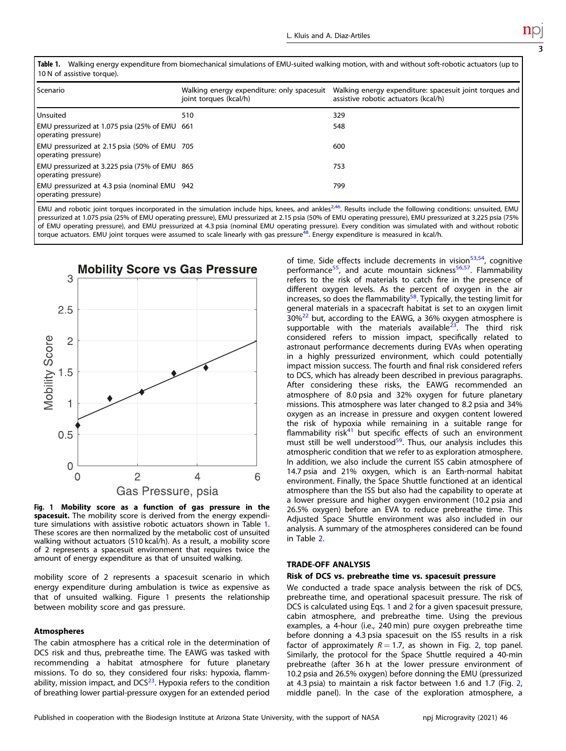<span id="page-2-0"></span>Table 1. Walking energy expenditure from biomechanical simulations of EMU-suited walking motion, with and without soft-robotic actuators (up to 10 N of assistive torque).

| l Scenario                                                           | Walking energy expenditure: only spacesuit<br>joint torques (kcal/h) | Walking energy expenditure: spacesuit joint torques and<br>assistive robotic actuators (kcal/h) |
|----------------------------------------------------------------------|----------------------------------------------------------------------|-------------------------------------------------------------------------------------------------|
| Unsuited                                                             | 510                                                                  | 329                                                                                             |
| EMU pressurized at 1.075 psia (25% of EMU 661<br>operating pressure) |                                                                      | 548                                                                                             |
| EMU pressurized at 2.15 psia (50% of EMU 705<br>operating pressure)  |                                                                      | 600                                                                                             |
| EMU pressurized at 3.225 psia (75% of EMU 865<br>operating pressure) |                                                                      | 753                                                                                             |
| EMU pressurized at 4.3 psia (nominal EMU 942<br>operating pressure)  |                                                                      | 799                                                                                             |

EMU and robotic joint torques incorporated in the simulation include hips, knees, and ankles<sup>[2](#page-6-0)[,46](#page-7-0)</sup>. Results include the following conditions: unsuited, EMU pressurized at 1.075 psia (25% of EMU operating pressure), EMU pressurized at 2.15 psia (50% of EMU operating pressure), EMU pressurized at 3.225 psia (75% of EMU operating pressure), and EMU pressurized at 4.3 psia (nominal EMU operating pressure). Every condition was simulated with and without robotic torque actuators. EMU joint torques were assumed to scale linearly with gas pressure<sup>48</sup>. Energy expenditure is measured in kcal/h.



Fig. 1 Mobility score as a function of gas pressure in the spacesuit. The mobility score is derived from the energy expenditure simulations with assistive robotic actuators shown in Table 1. These scores are then normalized by the metabolic cost of unsuited walking without actuators (510 kcal/h). As a result, a mobility score of 2 represents a spacesuit environment that requires twice the amount of energy expenditure as that of unsuited walking.

mobility score of 2 represents a spacesuit scenario in which energy expenditure during ambulation is twice as expensive as that of unsuited walking. Figure 1 presents the relationship between mobility score and gas pressure.

# Atmospheres

The cabin atmosphere has a critical role in the determination of DCS risk and thus, prebreathe time. The EAWG was tasked with recommending a habitat atmosphere for future planetary missions. To do so, they considered four risks: hypoxia, flammability, mission impact, and  $DCS<sup>23</sup>$ . Hypoxia refers to the condition of breathing lower partial-pressure oxygen for an extended period

of time. Side effects include decrements in vision $53,54$ , cognitive performance<sup>55</sup>, and acute mountain sickness<sup>56,57</sup>. Flammability refers to the risk of materials to catch fire in the presence of different oxygen levels. As the percent of oxygen in the air increases, so does the flammability<sup>[58](#page-7-0)</sup>. Typically, the testing limit for general materials in a spacecraft habitat is set to an oxygen limit  $30\%^{22}$  but, according to the EAWG, a 36% oxygen atmosphere is supportable with the materials available $2^3$ . The third risk considered refers to mission impact, specifically related to astronaut performance decrements during EVAs when operating in a highly pressurized environment, which could potentially impact mission success. The fourth and final risk considered refers to DCS, which has already been described in previous paragraphs. After considering these risks, the EAWG recommended an atmosphere of 8.0 psia and 32% oxygen for future planetary missions. This atmosphere was later changed to 8.2 psia and 34% oxygen as an increase in pressure and oxygen content lowered the risk of hypoxia while remaining in a suitable range for flammability risk<sup>[41](#page-6-0)</sup> but specific effects of such an environment must still be well understood<sup>[59](#page-7-0)</sup>. Thus, our analysis includes this atmospheric condition that we refer to as exploration atmosphere. In addition, we also include the current ISS cabin atmosphere of 14.7 psia and 21% oxygen, which is an Earth-normal habitat environment. Finally, the Space Shuttle functioned at an identical atmosphere than the ISS but also had the capability to operate at a lower pressure and higher oxygen environment (10.2 psia and 26.5% oxygen) before an EVA to reduce prebreathe time. This Adjusted Space Shuttle environment was also included in our analysis. A summary of the atmospheres considered can be found in Table [2.](#page-3-0)

# TRADE-OFF ANALYSIS

# Risk of DCS vs. prebreathe time vs. spacesuit pressure

We conducted a trade space analysis between the risk of DCS, prebreathe time, and operational spacesuit pressure. The risk of DCS is calculated using Eqs. [1](#page-1-0) and [2](#page-1-0) for a given spacesuit pressure, cabin atmosphere, and prebreathe time. Using the previous examples, a 4-hour (i.e., 240 min) pure oxygen prebreathe time before donning a 4.3 psia spacesuit on the ISS results in a risk factor of approximately  $R = 1.7$ , as shown in Fig. [2](#page-3-0), top panel. Similarly, the protocol for the Space Shuttle required a 40-min prebreathe (after 36 h at the lower pressure environment of 10.2 psia and 26.5% oxygen) before donning the EMU (pressurized at 4.3 psia) to maintain a risk factor between 1.6 and 1.7 (Fig. [2](#page-3-0), middle panel). In the case of the exploration atmosphere, a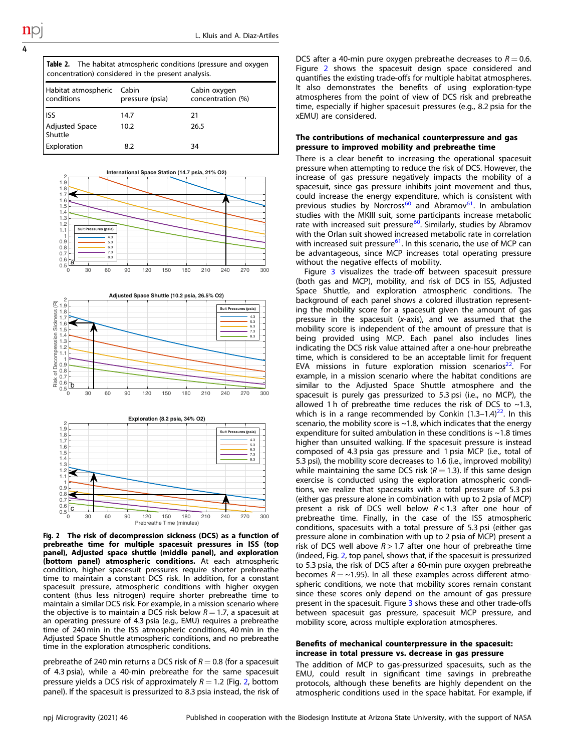| ۰,     |  |
|--------|--|
| u<br>i |  |

<span id="page-3-0"></span>

| <b>Table 2.</b> The habitat atmospheric conditions (pressure and oxygen<br>concentration) considered in the present analysis. |                          |                                   |  |
|-------------------------------------------------------------------------------------------------------------------------------|--------------------------|-----------------------------------|--|
| Habitat atmospheric<br>conditions                                                                                             | Cabin<br>pressure (psia) | Cabin oxygen<br>concentration (%) |  |
| ISS                                                                                                                           | 14.7                     | 21                                |  |
| <b>Adjusted Space</b><br>Shuttle                                                                                              | 10.2                     | 26.5                              |  |
| Exploration                                                                                                                   | 8.2                      | 34                                |  |



Fig. 2 The risk of decompression sickness (DCS) as a function of prebreathe time for multiple spacesuit pressures in ISS (top panel), Adjusted space shuttle (middle panel), and exploration (bottom panel) atmospheric conditions. At each atmospheric condition, higher spacesuit pressures require shorter prebreathe time to maintain a constant DCS risk. In addition, for a constant spacesuit pressure, atmospheric conditions with higher oxygen content (thus less nitrogen) require shorter prebreathe time to maintain a similar DCS risk. For example, in a mission scenario where the objective is to maintain a DCS risk below  $R = 1.7$ , a spacesuit at an operating pressure of 4.3 psia (e.g., EMU) requires a prebreathe time of 240 min in the ISS atmospheric conditions, 40 min in the Adjusted Space Shuttle atmospheric conditions, and no prebreathe time in the exploration atmospheric conditions.

prebreathe of 240 min returns a DCS risk of  $R = 0.8$  (for a spacesuit of 4.3 psia), while a 40-min prebreathe for the same spacesuit pressure yields a DCS risk of approximately  $R = 1.2$  (Fig. 2, bottom panel). If the spacesuit is pressurized to 8.3 psia instead, the risk of

DCS after a 40-min pure oxygen prebreathe decreases to  $R = 0.6$ . Figure 2 shows the spacesuit design space considered and quantifies the existing trade-offs for multiple habitat atmospheres. It also demonstrates the benefits of using exploration-type atmospheres from the point of view of DCS risk and prebreathe time, especially if higher spacesuit pressures (e.g., 8.2 psia for the xEMU) are considered.

# The contributions of mechanical counterpressure and gas pressure to improved mobility and prebreathe time

There is a clear benefit to increasing the operational spacesuit pressure when attempting to reduce the risk of DCS. However, the increase of gas pressure negatively impacts the mobility of a spacesuit, since gas pressure inhibits joint movement and thus, could increase the energy expenditure, which is consistent with previous studies by Norcross<sup>[60](#page-7-0)</sup> and Abramov<sup>61</sup>. In ambulation studies with the MKIII suit, some participants increase metabolic rate with increased suit pressure<sup>[60](#page-7-0)</sup>. Similarly, studies by Abramov with the Orlan suit showed increased metabolic rate in correlation with increased suit pressure<sup>61</sup>. In this scenario, the use of MCP can be advantageous, since MCP increases total operating pressure without the negative effects of mobility.

Figure [3](#page-4-0) visualizes the trade-off between spacesuit pressure (both gas and MCP), mobility, and risk of DCS in ISS, Adjusted Space Shuttle, and exploration atmospheric conditions. The background of each panel shows a colored illustration representing the mobility score for a spacesuit given the amount of gas pressure in the spacesuit (x-axis), and we assumed that the mobility score is independent of the amount of pressure that is being provided using MCP. Each panel also includes lines indicating the DCS risk value attained after a one-hour prebreathe time, which is considered to be an acceptable limit for frequent EVA missions in future exploration mission scenarios<sup>22</sup>. For example, in a mission scenario where the habitat conditions are similar to the Adjusted Space Shuttle atmosphere and the spacesuit is purely gas pressurized to 5.3 psi (i.e., no MCP), the allowed 1 h of prebreathe time reduces the risk of DCS to  $\sim$ 1.3, which is in a range recommended by Conkin  $(1.3-1.4)^{22}$ . In this scenario, the mobility score is  $\sim$  1.8, which indicates that the energy expenditure for suited ambulation in these conditions is ~1.8 times higher than unsuited walking. If the spacesuit pressure is instead composed of 4.3 psia gas pressure and 1 psia MCP (i.e., total of 5.3 psi), the mobility score decreases to 1.6 (i.e., improved mobility) while maintaining the same DCS risk  $(R = 1.3)$ . If this same design exercise is conducted using the exploration atmospheric conditions, we realize that spacesuits with a total pressure of 5.3 psi (either gas pressure alone in combination with up to 2 psia of MCP) present a risk of DCS well below  $R < 1.3$  after one hour of prebreathe time. Finally, in the case of the ISS atmospheric conditions, spacesuits with a total pressure of 5.3 psi (either gas pressure alone in combination with up to 2 psia of MCP) present a risk of DCS well above  $R > 1.7$  after one hour of prebreathe time (indeed, Fig. 2, top panel, shows that, if the spacesuit is pressurized to 5.3 psia, the risk of DCS after a 60-min pure oxygen prebreathe becomes  $R = \sim 1.95$ ). In all these examples across different atmospheric conditions, we note that mobility scores remain constant since these scores only depend on the amount of gas pressure present in the spacesuit. Figure [3](#page-4-0) shows these and other trade-offs between spacesuit gas pressure, spacesuit MCP pressure, and mobility score, across multiple exploration atmospheres.

## Benefits of mechanical counterpressure in the spacesuit: increase in total pressure vs. decrease in gas pressure

The addition of MCP to gas-pressurized spacesuits, such as the EMU, could result in significant time savings in prebreathe protocols, although these benefits are highly dependent on the atmospheric conditions used in the space habitat. For example, if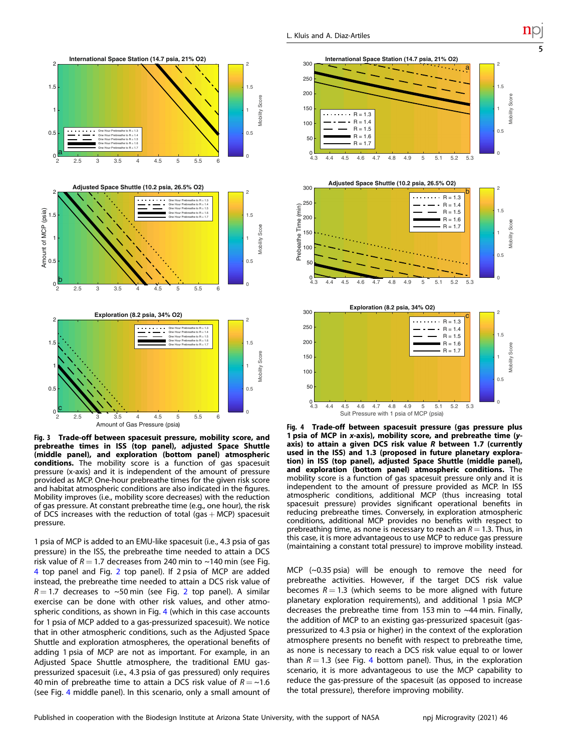<span id="page-4-0"></span>

Fig. 3 Trade-off between spacesuit pressure, mobility score, and prebreathe times in ISS (top panel), adjusted Space Shuttle (middle panel), and exploration (bottom panel) atmospheric conditions. The mobility score is a function of gas spacesuit pressure (x-axis) and it is independent of the amount of pressure provided as MCP. One-hour prebreathe times for the given risk score and habitat atmospheric conditions are also indicated in the figures. Mobility improves (i.e., mobility score decreases) with the reduction of gas pressure. At constant prebreathe time (e.g., one hour), the risk of DCS increases with the reduction of total (gas  $+$  MCP) spacesuit pressure.

1 psia of MCP is added to an EMU-like spacesuit (i.e., 4.3 psia of gas pressure) in the ISS, the prebreathe time needed to attain a DCS risk value of  $R = 1.7$  decreases from 240 min to ~140 min (see Fig. 4 top panel and Fig. [2](#page-3-0) top panel). If 2 psia of MCP are added instead, the prebreathe time needed to attain a DCS risk value of  $R = 1.7$  decreases to ~50 min (see Fig. [2](#page-3-0) top panel). A similar exercise can be done with other risk values, and other atmospheric conditions, as shown in Fig. 4 (which in this case accounts for 1 psia of MCP added to a gas-pressurized spacesuit). We notice that in other atmospheric conditions, such as the Adjusted Space Shuttle and exploration atmospheres, the operational benefits of adding 1 psia of MCP are not as important. For example, in an Adjusted Space Shuttle atmosphere, the traditional EMU gaspressurized spacesuit (i.e., 4.3 psia of gas pressured) only requires 40 min of prebreathe time to attain a DCS risk value of  $R = \sim 1.6$ (see Fig. 4 middle panel). In this scenario, only a small amount of



5



Fig. 4 Trade-off between spacesuit pressure (gas pressure plus 1 psia of MCP in x-axis), mobility score, and prebreathe time (yaxis) to attain a given DCS risk value R between 1.7 (currently used in the ISS) and 1.3 (proposed in future planetary exploration) in ISS (top panel), adjusted Space Shuttle (middle panel), and exploration (bottom panel) atmospheric conditions. The mobility score is a function of gas spacesuit pressure only and it is independent to the amount of pressure provided as MCP. In ISS atmospheric conditions, additional MCP (thus increasing total spacesuit pressure) provides significant operational benefits in reducing prebreathe times. Conversely, in exploration atmospheric conditions, additional MCP provides no benefits with respect to prebreathing time, as none is necessary to reach an  $R = 1.3$ . Thus, in this case, it is more advantageous to use MCP to reduce gas pressure (maintaining a constant total pressure) to improve mobility instead.

MCP (~0.35 psia) will be enough to remove the need for prebreathe activities. However, if the target DCS risk value becomes  $R = 1.3$  (which seems to be more aligned with future planetary exploration requirements), and additional 1 psia MCP decreases the prebreathe time from 153 min to ~44 min. Finally, the addition of MCP to an existing gas-pressurized spacesuit (gaspressurized to 4.3 psia or higher) in the context of the exploration atmosphere presents no benefit with respect to prebreathe time, as none is necessary to reach a DCS risk value equal to or lower than  $R = 1.3$  (see Fig. 4 bottom panel). Thus, in the exploration scenario, it is more advantageous to use the MCP capability to reduce the gas-pressure of the spacesuit (as opposed to increase the total pressure), therefore improving mobility.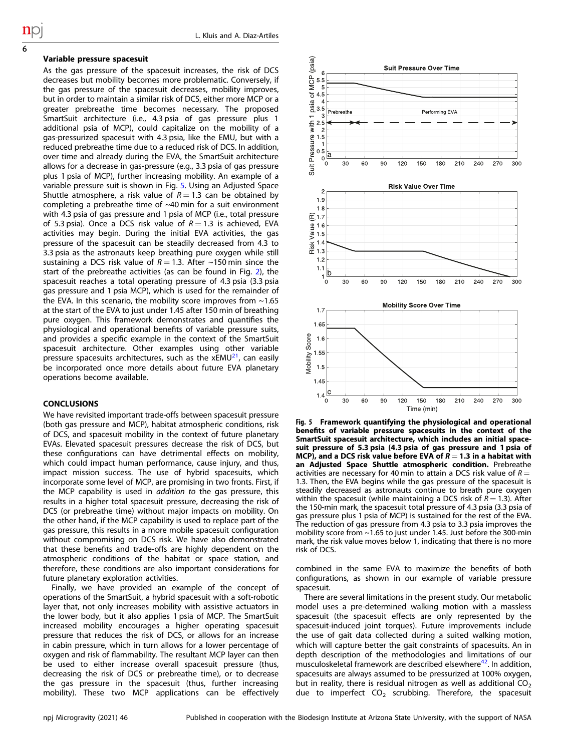#### Variable pressure spacesuit

6

As the gas pressure of the spacesuit increases, the risk of DCS decreases but mobility becomes more problematic. Conversely, if the gas pressure of the spacesuit decreases, mobility improves, but in order to maintain a similar risk of DCS, either more MCP or a greater prebreathe time becomes necessary. The proposed SmartSuit architecture (i.e., 4.3 psia of gas pressure plus 1 additional psia of MCP), could capitalize on the mobility of a gas-pressurized spacesuit with 4.3 psia, like the EMU, but with a reduced prebreathe time due to a reduced risk of DCS. In addition, over time and already during the EVA, the SmartSuit architecture allows for a decrease in gas-pressure (e.g., 3.3 psia of gas pressure plus 1 psia of MCP), further increasing mobility. An example of a variable pressure suit is shown in Fig. 5. Using an Adjusted Space Shuttle atmosphere, a risk value of  $R = 1.3$  can be obtained by completing a prebreathe time of  $~40$  min for a suit environment with 4.3 psia of gas pressure and 1 psia of MCP (i.e., total pressure of 5.3 psia). Once a DCS risk value of  $R = 1.3$  is achieved, EVA activities may begin. During the initial EVA activities, the gas pressure of the spacesuit can be steadily decreased from 4.3 to 3.3 psia as the astronauts keep breathing pure oxygen while still sustaining a DCS risk value of  $R = 1.3$ . After ~150 min since the start of the prebreathe activities (as can be found in Fig. [2](#page-3-0)), the spacesuit reaches a total operating pressure of 4.3 psia (3.3 psia gas pressure and 1 psia MCP), which is used for the remainder of the EVA. In this scenario, the mobility score improves from  $\sim$  1.65 at the start of the EVA to just under 1.45 after 150 min of breathing pure oxygen. This framework demonstrates and quantifies the physiological and operational benefits of variable pressure suits, and provides a specific example in the context of the SmartSuit spacesuit architecture. Other examples using other variable pressure spacesuits architectures, such as the  $xEMU<sup>21</sup>$  $xEMU<sup>21</sup>$  $xEMU<sup>21</sup>$ , can easily be incorporated once more details about future EVA planetary operations become available.

### **CONCLUSIONS**

We have revisited important trade-offs between spacesuit pressure (both gas pressure and MCP), habitat atmospheric conditions, risk of DCS, and spacesuit mobility in the context of future planetary EVAs. Elevated spacesuit pressures decrease the risk of DCS, but these configurations can have detrimental effects on mobility, which could impact human performance, cause injury, and thus, impact mission success. The use of hybrid spacesuits, which incorporate some level of MCP, are promising in two fronts. First, if the MCP capability is used in *addition to* the gas pressure, this results in a higher total spacesuit pressure, decreasing the risk of DCS (or prebreathe time) without major impacts on mobility. On the other hand, if the MCP capability is used to replace part of the gas pressure, this results in a more mobile spacesuit configuration without compromising on DCS risk. We have also demonstrated that these benefits and trade-offs are highly dependent on the atmospheric conditions of the habitat or space station, and therefore, these conditions are also important considerations for future planetary exploration activities.

Finally, we have provided an example of the concept of operations of the SmartSuit, a hybrid spacesuit with a soft-robotic layer that, not only increases mobility with assistive actuators in the lower body, but it also applies 1 psia of MCP. The SmartSuit increased mobility encourages a higher operating spacesuit pressure that reduces the risk of DCS, or allows for an increase in cabin pressure, which in turn allows for a lower percentage of oxygen and risk of flammability. The resultant MCP layer can then be used to either increase overall spacesuit pressure (thus, decreasing the risk of DCS or prebreathe time), or to decrease the gas pressure in the spacesuit (thus, further increasing mobility). These two MCP applications can be effectively



Fig. 5 Framework quantifying the physiological and operational benefits of variable pressure spacesuits in the context of the SmartSuit spacesuit architecture, which includes an initial spacesuit pressure of 5.3 psia (4.3 psia of gas pressure and 1 psia of MCP), and a DCS risk value before EVA of  $R = 1.3$  in a habitat with an Adjusted Space Shuttle atmospheric condition. Prebreathe activities are necessary for 40 min to attain a DCS risk value of  $R =$ 1.3. Then, the EVA begins while the gas pressure of the spacesuit is steadily decreased as astronauts continue to breath pure oxygen within the spacesuit (while maintaining a DCS risk of  $R = 1.3$ ). After the 150-min mark, the spacesuit total pressure of 4.3 psia (3.3 psia of gas pressure plus 1 psia of MCP) is sustained for the rest of the EVA. The reduction of gas pressure from 4.3 psia to 3.3 psia improves the mobility score from ~1.65 to just under 1.45. Just before the 300-min mark, the risk value moves below 1, indicating that there is no more risk of DCS.

combined in the same EVA to maximize the benefits of both configurations, as shown in our example of variable pressure spacesuit.

There are several limitations in the present study. Our metabolic model uses a pre-determined walking motion with a massless spacesuit (the spacesuit effects are only represented by the spacesuit-induced joint torques). Future improvements include the use of gait data collected during a suited walking motion, which will capture better the gait constraints of spacesuits. An in depth description of the methodologies and limitations of our musculoskeletal framework are described elsewhere $42$ . In addition, spacesuits are always assumed to be pressurized at 100% oxygen, but in reality, there is residual nitrogen as well as additional  $CO<sub>2</sub>$ due to imperfect  $CO<sub>2</sub>$  scrubbing. Therefore, the spacesuit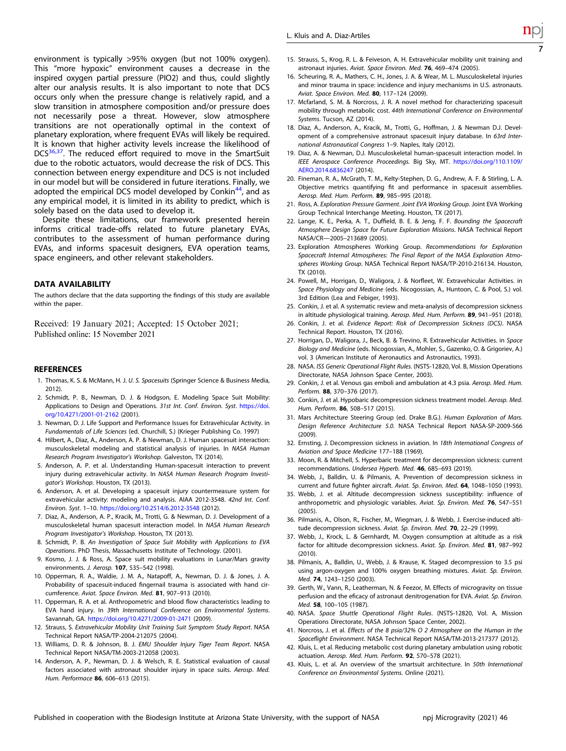<span id="page-6-0"></span>environment is typically >95% oxygen (but not 100% oxygen). This "more hypoxic" environment causes a decrease in the inspired oxygen partial pressure (PIO2) and thus, could slightly alter our analysis results. It is also important to note that DCS occurs only when the pressure change is relatively rapid, and a slow transition in atmosphere composition and/or pressure does not necessarily pose a threat. However, slow atmosphere transitions are not operationally optimal in the context of planetary exploration, where frequent EVAs will likely be required. It is known that higher activity levels increase the likelihood of DCS<sup>36,37</sup>. The reduced effort required to move in the SmartSuit due to the robotic actuators, would decrease the risk of DCS. This connection between energy expenditure and DCS is not included in our model but will be considered in future iterations. Finally, we adopted the empirical DCS model developed by Conkin<sup>44</sup>, and as any empirical model, it is limited in its ability to predict, which is solely based on the data used to develop it.

Despite these limitations, our framework presented herein informs critical trade-offs related to future planetary EVAs, contributes to the assessment of human performance during EVAs, and informs spacesuit designers, EVA operation teams, space engineers, and other relevant stakeholders.

#### DATA AVAILABILITY

The authors declare that the data supporting the findings of this study are available within the paper.

Received: 19 January 2021; Accepted: 15 October 2021; Published online: 15 November 2021

#### **REFERENCES**

- 1. Thomas, K. S. & McMann, H. J. U. S. Spacesuits (Springer Science & Business Media, 2012).
- 2. Schmidt, P. B., Newman, D. J. & Hodgson, E. Modeling Space Suit Mobility: Applications to Design and Operations. 31st Int. Conf. Environ. Syst. [https://doi.](https://doi.org/10.4271/2001-01-2162) [org/10.4271/2001-01-2162](https://doi.org/10.4271/2001-01-2162) (2001).
- 3. Newman, D. J. Life Support and Performance Issues for Extravehicular Activity. in Fundamentals of Life Sciences (ed. Churchill, S.) (Krieger Publishing Co. 1997)
- 4. Hilbert, A., Diaz, A., Anderson, A. P. & Newman, D. J. Human spacesuit interaction: musculoskeletal modeling and statistical analysis of injuries. In NASA Human Research Program Investigator's Workshop. Galveston, TX (2014).
- 5. Anderson, A. P. et al. Understanding Human-spacesuit interaction to prevent injury during extravehicular activity. In NASA Human Research Program Investigator's Workshop. Houston, TX (2013).
- 6. Anderson, A. et al. Developing a spacesuit injury countermeasure system for extravehicular activity: modeling and analysis. AIAA 2012-3548. 42nd Int. Conf. Environ. Syst. 1–10. <https://doi.org/10.2514/6.2012-3548> (2012).
- 7. Diaz, A., Anderson, A. P., Kracik, M., Trotti, G. & Newman, D. J. Development of a musculoskeletal human spacesuit interaction model. In NASA Human Research Program Investigator's Workshop. Houston, TX (2013).
- 8. Schmidt, P. B. An Investigation of Space Suit Mobility with Applications to EVA Operations. PhD Thesis, Massachusetts Institute of Technology. (2001).
- 9. Kosmo, J. J. & Ross, A. Space suit mobility evaluations in Lunar/Mars gravity environments. J. Aerosp. 107, 535–542 (1998).
- 10. Opperman, R. A., Waldie, J. M. A., Natapoff, A., Newman, D. J. & Jones, J. A. Probability of spacesuit-induced fingernail trauma is associated with hand circumference. Aviat. Space Environ. Med. 81, 907–913 (2010).
- 11. Opperman, R. A. et al. Anthropometric and blood flow characteristics leading to EVA hand injury. In 39th International Conference on Environmental Systems. Savannah, GA. <https://doi.org/10.4271/2009-01-2471> (2009).
- 12. Strauss, S. Extravehicular Mobility Unit Training Suit Symptom Study Report. NASA Technical Report NASA/TP-2004-212075 (2004).
- 13. Williams, D. R. & Johnson, B. J. EMU Shoulder Injury Tiger Team Report. NASA Technical Report NASA/TM-2003-212058 (2003).
- 14. Anderson, A. P., Newman, D. J. & Welsch, R. E. Statistical evaluation of causal factors associated with astronaut shoulder injury in space suits. Aerosp. Med. Hum. Performace 86, 606–613 (2015).
- 15. Strauss, S., Krog, R. L. & Feiveson, A. H. Extravehicular mobility unit training and astronaut injuries. Aviat. Space Environ. Med. 76, 469–474 (2005).
- 16. Scheuring, R. A., Mathers, C. H., Jones, J. A. & Wear, M. L. Musculoskeletal injuries and minor trauma in space: incidence and injury mechanisms in U.S. astronauts. Aviat. Space Environ. Med. 80, 117–124 (2009).
- 17. Mcfarland, S. M. & Norcross, J. R. A novel method for characterizing spacesuit mobility through metabolic cost. 44th International Conference on Environmental Systems. Tucson, AZ (2014).
- 18. Diaz, A., Anderson, A., Kracik, M., Trotti, G., Hoffman, J. & Newman D.J. Development of a comprehensive astronaut spacesuit injury database. In 63rd International Astronautical Congress 1–9. Naples, Italy (2012).
- 19. Diaz, A. & Newman, D.J. Musculoskeletal human-spacesuit interaction model. In IEEE Aerospace Conference Proceedings. Big Sky, MT. [https://doi.org/110.1109/](https://doi.org/110.1109/AERO.2014.6836247) [AERO.2014.6836247](https://doi.org/110.1109/AERO.2014.6836247) (2014).
- 20. Fineman, R. A., McGrath, T. M., Kelty-Stephen, D. G., Andrew, A. F. & Stirling, L. A. Objective metrics quantifying fit and performance in spacesuit assemblies. Aerosp. Med. Hum. Perform. 89, 985–995 (2018).
- 21. Ross, A. Exploration Pressure Garment. Joint EVA Working Group. Joint EVA Working Group Technical Interchange Meeting. Houston, TX (2017).
- 22. Lange, K. E., Perka, A. T., Duffield, B. E. & Jeng, F. F. Bounding the Spacecraft Atmosphere Design Space for Future Exploration Missions. NASA Technical Report NASA/CR—2005–213689 (2005).
- 23. Exploration Atmospheres Working Group. Recommendations for Exploration Spacecraft Internal Atmospheres: The Final Report of the NASA Exploration Atmospheres Working Group. NASA Technical Report NASA/TP-2010-216134. Houston, TX (2010).
- 24. Powell, M., Horrigan, D., Waligora, J. & Norfleet, W. Extravehicular Activities. in Space Physiology and Medicine (eds. Nicogossian, A., Huntoon, C. & Pool, S.) vol. 3rd Edition (Lea and Febiger, 1993).
- 25. Conkin, J. et al. A systematic review and meta-analysis of decompression sickness in altitude physiological training. Aerosp. Med. Hum. Perform. 89, 941–951 (2018).
- 26. Conkin, J. et al. Evidence Report: Risk of Decompression Sickness (DCS). NASA Technical Report. Houston, TX (2016).
- 27. Horrigan, D., Waligora, J., Beck, B. & Trevino, R. Extravehicular Activities. in Space Biology and Medicine (eds. Nicogossian, A., Mohler, S., Gazenko, O. & Grigoriev, A.) vol. 3 (American Institute of Aeronautics and Astronautics, 1993).
- 28. NASA. ISS Generic Operational Flight Rules. (NSTS-12820, Vol. B, Mission Operations Directorate, NASA Johnson Space Center, 2003).
- 29. Conkin, J. et al. Venous gas emboli and ambulation at 4.3 psia. Aerosp. Med. Hum. Perform. 88, 370–376 (2017).
- 30. Conkin, J. et al. Hypobaric decompression sickness treatment model. Aerosp. Med. Hum. Perform. 86, 508–517 (2015).
- 31. Mars Architecture Steering Group (ed. Drake B.G.). Human Exploration of Mars. Design Reference Architecture 5.0. NASA Technical Report NASA-SP-2009-566 (2009).
- 32. Ernsting, J. Decompression sickness in aviation. In 18th International Congress of Aviation and Space Medicine 177–188 (1969).
- 33. Moon, R. & Mitchell, S. Hyperbaric treatment for decompression sickness: current recommendations. Undersea Hyperb. Med. 46, 685–693 (2019).
- 34. Webb, J., Balldin, U. & Pilmanis, A. Prevention of decompression sickness in current and future fighter aircraft. Aviat. Sp. Environ. Med. 64, 1048-1050 (1993).
- 35. Webb, J. et al. Altitude decompression sickness susceptibility: influence of anthropometric and physiologic variables. Aviat. Sp. Environ. Med. 76, 547–551  $(2005)$
- 36. Pilmanis, A., Olson, R., Fischer, M., Wiegman, J. & Webb, J. Exercise-induced altitude decompression sickness. Aviat. Sp. Environ. Med. 70, 22–29 (1999).
- 37. Webb, J., Krock, L. & Gernhardt, M. Oxygen consumption at altitude as a risk factor for altitude decompression sickness. Aviat. Sp. Environ. Med. 81, 987–992  $(2010)$
- 38. Pilmanis, A., Balldin, U., Webb, J. & Krause, K. Staged decompression to 3.5 psi using argon-oxygen and 100% oxygen breathing mixtures. Aviat. Sp. Environ. Med. 74, 1243–1250 (2003).
- 39. Gerth, W., Vann, R., Leatherman, N. & Feezor, M. Effects of microgravity on tissue perfusion and the eficacy of astronaut denitrogenation for EVA. Aviat. Sp. Environ. Med. 58, 100–105 (1987).
- 40. NASA. Space Shuttle Operational Flight Rules. (NSTS-12820, Vol. A, Mission Operations Directorate, NASA Johnson Space Center, 2002).
- 41. Norcross, J. et al. Effects of the 8 psia/32% O 2 Atmosphere on the Human in the Spaceflight Environment. NASA Technical Report NASA/TM-2013-217377 (2012).
- 42. Kluis, L. et al. Reducing metabolic cost during planetary ambulation using robotic actuation. Aerosp. Med. Hum. Perform. 92, 570–578 (2021).
- 43. Kluis, L. et al. An overview of the smartsuit architecture. In 50th International Conference on Environmental Systems. Online (2021).